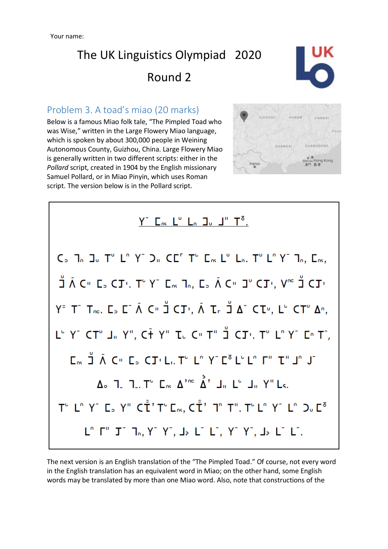

### Problem 3. A toad's miao (20 marks)

Below is a famous Miao folk tale, "The Pimpled Toad who was Wise," written in the Large Flowery Miao language, which is spoken by about 300,000 people in Weining Autonomous County, Guizhou, China. Large Flowery Miao is generally written in two different scripts: either in the *Pollard* script, created in 1904 by the English missionary Samuel Pollard, or in Miao Pinyin, which uses Roman script. The version below is in the Pollard script.





The next version is an English translation of the "The Pimpled Toad." Of course, not every word in the English translation has an equivalent word in Miao; on the other hand, some English words may be translated by more than one Miao word. Also, note that constructions of the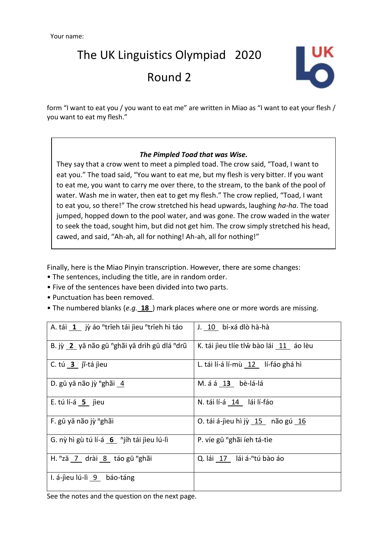

form "I want to eat you / you want to eat me" are written in Miao as "I want to eat your flesh / you want to eat my flesh."

#### *The Pimpled Toad that was Wise.*

They say that a crow went to meet a pimpled toad. The crow said, "Toad, I want to eat you." The toad said, "You want to eat me, but my flesh is very bitter. If you want to eat me, you want to carry me over there, to the stream, to the bank of the pool of water. Wash me in water, then eat to get my flesh." The crow replied, "Toad, I want to eat you, so there!" The crow stretched his head upwards, laughing *ha-ha*. The toad jumped, hopped down to the pool water, and was gone. The crow waded in the water to seek the toad, sought him, but did not get him. The crow simply stretched his head, cawed, and said, "Ah-ah, all for nothing! Ah-ah, all for nothing!"

Finally, here is the Miao Pinyin transcription. However, there are some changes:

- The sentences, including the title, are in random order.
- Five of the sentences have been divided into two parts.
- Punctuation has been removed.
- The numbered blanks (*e.g.* **18** ) mark places where one or more words are missing.

| A. tái 1 jỳ áo "trīeh tái jìeu "trīeh hì táo          | J. 10 bí-xá dlò hà-hà                   |
|-------------------------------------------------------|-----------------------------------------|
| B. jỳ 2 yā não gū "ghãi yā drìh gū dlá "drũ           | K. tái jieu tlíe tlw bào lái 11 áo lèu  |
| C. tú $3$ jĩ-tá jieu                                  | L. tái lí-á lí-mù 12 lí-fáo ghá hì      |
| D. gū yā não jỳ "ghãi 4                               | M. á á 13 bè-lá-lá                      |
| E. tú lí-á $5$ jìeu                                   | N. tái lí-á 14 lái lí-fáo               |
| F. gū yā não jỳ "ghãi                                 | O. tái á-jìeu hì jỳ 15 não gú 16        |
| G. nỳ hì gù tú lí-á 6 <sup>n</sup> jíh tái jìeu lú-lì | P. víe gū "ghãi íeh tá-tìe              |
| H. "zā 7 drài 8 táo gū "ghãi                          | Q. lái 17 lái á- <sup>n</sup> tú bào áo |
| I. á-jieu lú-lì 9 báo-táng                            |                                         |

See the notes and the question on the next page.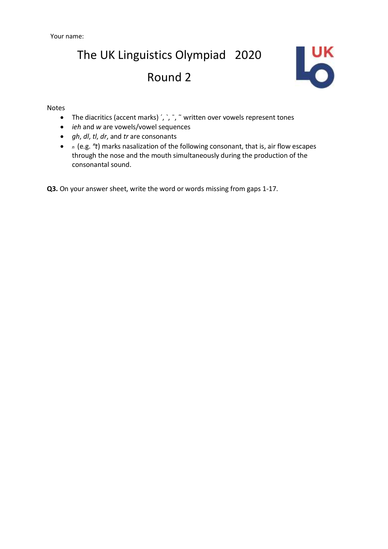

#### Notes

- The diacritics (accent marks) ´, `, ~, ~ written over vowels represent tones
- *ieh* and *w* are vowels/vowel sequences
- *gh*, *dl*, *tl*, *dr*, and *tr* are consonants
- *<sup>n</sup>*(e.g. *ⁿt*) marks nasalization of the following consonant, that is, air flow escapes through the nose and the mouth simultaneously during the production of the consonantal sound.

**Q3.** On your answer sheet, write the word or words missing from gaps 1-17.